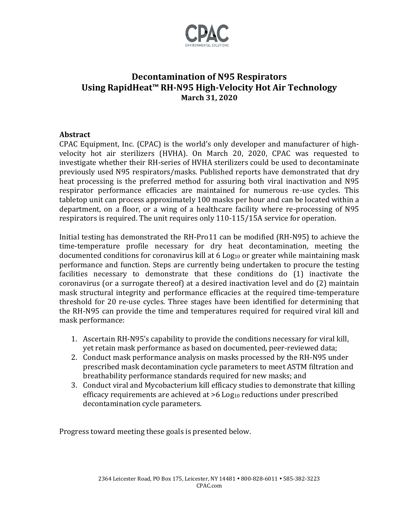

# **Decontamination of N95 Respirators Using RapidHeat™ RH-N95 High-Velocity Hot Air Technology March 31, 2020**

### **Abstract**

CPAC Equipment, Inc. (CPAC) is the world's only developer and manufacturer of highvelocity hot air sterilizers (HVHA). On March 20, 2020, CPAC was requested to investigate whether their RH-series of HVHA sterilizers could be used to decontaminate previously used N95 respirators/masks. Published reports have demonstrated that dry heat processing is the preferred method for assuring both viral inactivation and N95 respirator performance efficacies are maintained for numerous re-use cycles. This tabletop unit can process approximately 100 masks per hour and can be located within a department, on a floor, or a wing of a healthcare facility where re-processing of N95 respirators is required. The unit requires only 110-115/15A service for operation.

Initial testing has demonstrated the RH-Pro11 can be modified (RH-N95) to achieve the time-temperature profile necessary for dry heat decontamination, meeting the documented conditions for coronavirus kill at 6 Log<sub>10</sub> or greater while maintaining mask performance and function. Steps are currently being undertaken to procure the testing facilities necessary to demonstrate that these conditions do (1) inactivate the coronavirus (or a surrogate thereof) at a desired inactivation level and do (2) maintain mask structural integrity and performance efficacies at the required time-temperature threshold for 20 re-use cycles. Three stages have been identified for determining that the RH-N95 can provide the time and temperatures required for required viral kill and mask performance:

- 1. Ascertain RH-N95's capability to provide the conditions necessary for viral kill, yet retain mask performance as based on documented, peer-reviewed data;
- 2. Conduct mask performance analysis on masks processed by the RH-N95 under prescribed mask decontamination cycle parameters to meet ASTM filtration and breathability performance standards required for new masks; and
- 3. Conduct viral and Mycobacterium kill efficacy studies to demonstrate that killing efficacy requirements are achieved at >6 Log<sub>10</sub> reductions under prescribed decontamination cycle parameters.

Progress toward meeting these goals is presented below.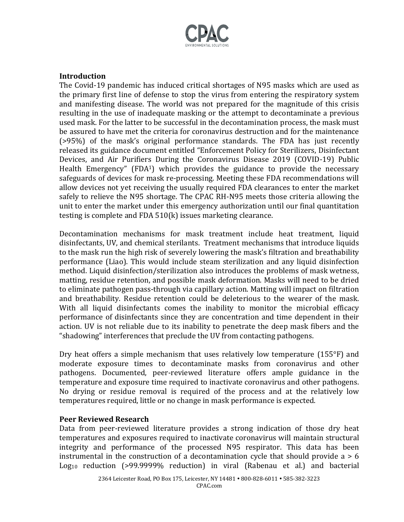

#### **Introduction**

The Covid-19 pandemic has induced critical shortages of N95 masks which are used as the primary first line of defense to stop the virus from entering the respiratory system and manifesting disease. The world was not prepared for the magnitude of this crisis resulting in the use of inadequate masking or the attempt to decontaminate a previous used mask. For the latter to be successful in the decontamination process, the mask must be assured to have met the criteria for coronavirus destruction and for the maintenance (>95%) of the mask's original performance standards. The FDA has just recently released its guidance document entitled "Enforcement Policy for Sterilizers, Disinfectant Devices, and Air Purifiers During the Coronavirus Disease 2019 (COVID-19) Public Health Emergency" (FDA1) which provides the guidance to provide the necessary safeguards of devices for mask re-processing. Meeting these FDA recommendations will allow devices not yet receiving the usually required FDA clearances to enter the market safely to relieve the N95 shortage. The CPAC RH-N95 meets those criteria allowing the unit to enter the market under this emergency authorization until our final quantitation testing is complete and FDA 510(k) issues marketing clearance.

Decontamination mechanisms for mask treatment include heat treatment, liquid disinfectants, UV, and chemical sterilants. Treatment mechanisms that introduce liquids to the mask run the high risk of severely lowering the mask's filtration and breathability performance (Liao). This would include steam sterilization and any liquid disinfection method. Liquid disinfection/sterilization also introduces the problems of mask wetness, matting, residue retention, and possible mask deformation. Masks will need to be dried to eliminate pathogen pass-through via capillary action. Matting will impact on filtration and breathability. Residue retention could be deleterious to the wearer of the mask. With all liquid disinfectants comes the inability to monitor the microbial efficacy performance of disinfectants since they are concentration and time dependent in their action. UV is not reliable due to its inability to penetrate the deep mask fibers and the "shadowing" interferences that preclude the UV from contacting pathogens.

Dry heat offers a simple mechanism that uses relatively low temperature (155°F) and moderate exposure times to decontaminate masks from coronavirus and other pathogens. Documented, peer-reviewed literature offers ample guidance in the temperature and exposure time required to inactivate coronavirus and other pathogens. No drying or residue removal is required of the process and at the relatively low temperatures required, little or no change in mask performance is expected.

#### **Peer Reviewed Research**

Data from peer-reviewed literature provides a strong indication of those dry heat temperatures and exposures required to inactivate coronavirus will maintain structural integrity and performance of the processed N95 respirator. This data has been instrumental in the construction of a decontamination cycle that should provide  $a > 6$ Log<sup>10</sup> reduction (>99.9999% reduction) in viral (Rabenau et al.) and bacterial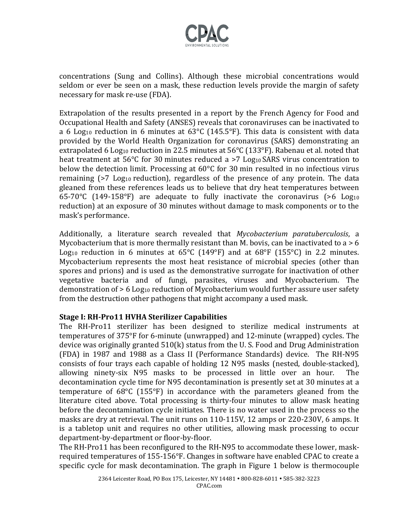

concentrations (Sung and Collins). Although these microbial concentrations would seldom or ever be seen on a mask, these reduction levels provide the margin of safety necessary for mask re-use (FDA).

Extrapolation of the results presented in a report by the French Agency for Food and Occupational Health and Safety (ANSES) reveals that coronaviruses can be inactivated to a 6 Log<sub>10</sub> reduction in 6 minutes at  $63^{\circ}$ C (145.5°F). This data is consistent with data provided by the World Health Organization for coronavirus (SARS) demonstrating an extrapolated 6 Log<sub>10</sub> reduction in 22.5 minutes at 56°C (133°F). Rabenau et al. noted that heat treatment at 56°C for 30 minutes reduced a >7 Log<sub>10</sub> SARS virus concentration to below the detection limit. Processing at 60°C for 30 min resulted in no infectious virus remaining  $\left($ >7 Log<sub>10</sub> reduction), regardless of the presence of any protein. The data gleaned from these references leads us to believe that dry heat temperatures between 65-70 $\degree$ C (149-158 $\degree$ F) are adequate to fully inactivate the coronavirus (>6 Log<sub>10</sub> reduction) at an exposure of 30 minutes without damage to mask components or to the mask's performance.

Additionally, a literature search revealed that *Mycobacterium paratuberculosis*, a Mycobacterium that is more thermally resistant than M. bovis, can be inactivated to  $a > 6$ Log<sub>10</sub> reduction in 6 minutes at  $65^{\circ}$ C (149°F) and at  $68^{\circ}$ F (155°C) in 2.2 minutes. Mycobacterium represents the most heat resistance of microbial species (other than spores and prions) and is used as the demonstrative surrogate for inactivation of other vegetative bacteria and of fungi, parasites, viruses and Mycobacterium. The demonstration of  $> 6$  Log<sub>10</sub> reduction of Mycobacterium would further assure user safety from the destruction other pathogens that might accompany a used mask.

#### **Stage I: RH-Pro11 HVHA Sterilizer Capabilities**

The RH-Pro11 sterilizer has been designed to sterilize medical instruments at temperatures of 375°F for 6-minute (unwrapped) and 12-minute (wrapped) cycles. The device was originally granted 510(k) status from the U. S. Food and Drug Administration (FDA) in 1987 and 1988 as a Class II (Performance Standards) device. The RH-N95 consists of four trays each capable of holding 12 N95 masks (nested, double-stacked), allowing ninety-six N95 masks to be processed in little over an hour. The decontamination cycle time for N95 decontamination is presently set at 30 minutes at a temperature of 68°C (155°F) in accordance with the parameters gleaned from the literature cited above. Total processing is thirty-four minutes to allow mask heating before the decontamination cycle initiates. There is no water used in the process so the masks are dry at retrieval. The unit runs on 110-115V, 12 amps or 220-230V, 6 amps. It is a tabletop unit and requires no other utilities, allowing mask processing to occur department-by-department or floor-by-floor.

The RH-Pro11 has been reconfigured to the RH-N95 to accommodate these lower, maskrequired temperatures of 155-156°F. Changes in software have enabled CPAC to create a specific cycle for mask decontamination. The graph in Figure 1 below is thermocouple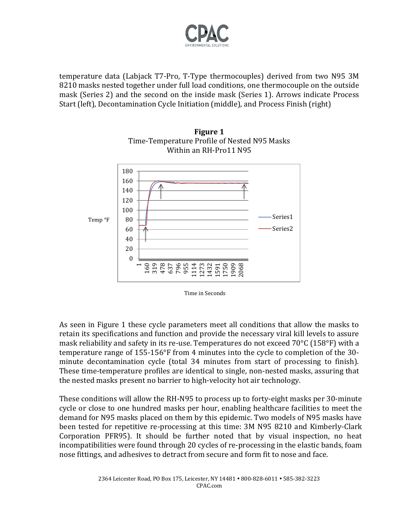

temperature data (Labjack T7-Pro, T-Type thermocouples) derived from two N95 3M 8210 masks nested together under full load conditions, one thermocouple on the outside mask (Series 2) and the second on the inside mask (Series 1). Arrows indicate Process Start (left), Decontamination Cycle Initiation (middle), and Process Finish (right)





As seen in Figure 1 these cycle parameters meet all conditions that allow the masks to retain its specifications and function and provide the necessary viral kill levels to assure mask reliability and safety in its re-use. Temperatures do not exceed 70°C (158°F) with a temperature range of 155-156°F from 4 minutes into the cycle to completion of the 30 minute decontamination cycle (total 34 minutes from start of processing to finish). These time-temperature profiles are identical to single, non-nested masks, assuring that the nested masks present no barrier to high-velocity hot air technology.

These conditions will allow the RH-N95 to process up to forty-eight masks per 30-minute cycle or close to one hundred masks per hour, enabling healthcare facilities to meet the demand for N95 masks placed on them by this epidemic. Two models of N95 masks have been tested for repetitive re-processing at this time: 3M N95 8210 and Kimberly-Clark Corporation PFR95). It should be further noted that by visual inspection, no heat incompatibilities were found through 20 cycles of re-processing in the elastic bands, foam nose fittings, and adhesives to detract from secure and form fit to nose and face.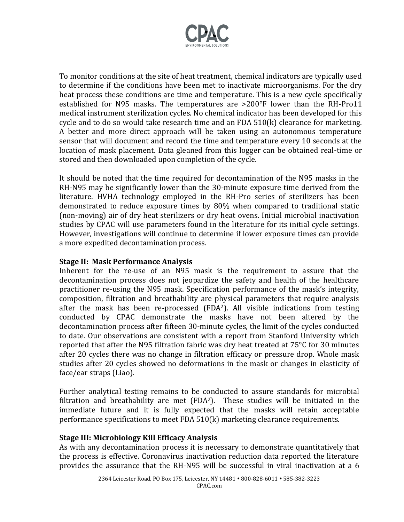

To monitor conditions at the site of heat treatment, chemical indicators are typically used to determine if the conditions have been met to inactivate microorganisms. For the dry heat process these conditions are time and temperature. This is a new cycle specifically established for N95 masks. The temperatures are >200°F lower than the RH-Pro11 medical instrument sterilization cycles. No chemical indicator has been developed for this cycle and to do so would take research time and an FDA 510(k) clearance for marketing. A better and more direct approach will be taken using an autonomous temperature sensor that will document and record the time and temperature every 10 seconds at the location of mask placement. Data gleaned from this logger can be obtained real-time or stored and then downloaded upon completion of the cycle.

It should be noted that the time required for decontamination of the N95 masks in the RH-N95 may be significantly lower than the 30-minute exposure time derived from the literature. HVHA technology employed in the RH-Pro series of sterilizers has been demonstrated to reduce exposure times by 80% when compared to traditional static (non-moving) air of dry heat sterilizers or dry heat ovens. Initial microbial inactivation studies by CPAC will use parameters found in the literature for its initial cycle settings. However, investigations will continue to determine if lower exposure times can provide a more expedited decontamination process.

#### **Stage II: Mask Performance Analysis**

Inherent for the re-use of an N95 mask is the requirement to assure that the decontamination process does not jeopardize the safety and health of the healthcare practitioner re-using the N95 mask. Specification performance of the mask's integrity, composition, filtration and breathability are physical parameters that require analysis after the mask has been re-processed (FDA2). All visible indications from testing conducted by CPAC demonstrate the masks have not been altered by the decontamination process after fifteen 30-minute cycles, the limit of the cycles conducted to date. Our observations are consistent with a report from Stanford University which reported that after the N95 filtration fabric was dry heat treated at 75°C for 30 minutes after 20 cycles there was no change in filtration efficacy or pressure drop. Whole mask studies after 20 cycles showed no deformations in the mask or changes in elasticity of face/ear straps (Liao).

Further analytical testing remains to be conducted to assure standards for microbial filtration and breathability are met  $(FDA<sup>2</sup>)$ . These studies will be initiated in the immediate future and it is fully expected that the masks will retain acceptable performance specifications to meet FDA 510(k) marketing clearance requirements.

#### **Stage III: Microbiology Kill Efficacy Analysis**

As with any decontamination process it is necessary to demonstrate quantitatively that the process is effective. Coronavirus inactivation reduction data reported the literature provides the assurance that the RH-N95 will be successful in viral inactivation at a 6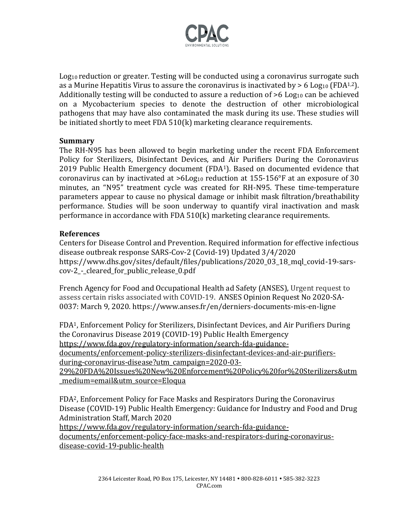

Log<sub>10</sub> reduction or greater. Testing will be conducted using a coronavirus surrogate such as a Murine Hepatitis Virus to assure the coronavirus is inactivated by  $> 6$  Log<sub>10</sub> (FDA<sup>1,2</sup>). Additionally testing will be conducted to assure a reduction of  $>6$  Log<sub>10</sub> can be achieved on a Mycobacterium species to denote the destruction of other microbiological pathogens that may have also contaminated the mask during its use. These studies will be initiated shortly to meet FDA 510(k) marketing clearance requirements.

#### **Summary**

The RH-N95 has been allowed to begin marketing under the recent FDA Enforcement Policy for Sterilizers, Disinfectant Devices, and Air Purifiers During the Coronavirus 2019 Public Health Emergency document (FDA1). Based on documented evidence that coronavirus can by inactivated at  $>6$ Log<sub>10</sub> reduction at  $155$ -156 $\degree$ F at an exposure of 30 minutes, an "N95" treatment cycle was created for RH-N95. These time-temperature parameters appear to cause no physical damage or inhibit mask filtration/breathability performance. Studies will be soon underway to quantify viral inactivation and mask performance in accordance with FDA 510(k) marketing clearance requirements.

#### **References**

Centers for Disease Control and Prevention. Required information for effective infectious disease outbreak response SARS-Cov-2 (Covid-19) Updated 3/4/2020 https://www.dhs.gov/sites/default/files/publications/2020\_03\_18\_mql\_covid-19-sarscov-2 - cleared for public release 0.pdf

French Agency for Food and Occupational Health ad Safety (ANSES), Urgent request to assess certain risks associated with COVID-19. ANSES Opinion Request No 2020-SA-0037: March 9, 2020. https://www.anses.fr/en/derniers-documents-mis-en-ligne

FDA1, Enforcement Policy for Sterilizers, Disinfectant Devices, and Air Purifiers During the Coronavirus Disease 2019 (COVID-19) Public Health Emergency [https://www.fda.gov/regulatory-information/search-fda-guidance](https://www.fda.gov/regulatory-information/search-fda-guidance-documents/enforcement-policy-sterilizers-disinfectant-devices-and-air-purifiers-during-coronavirus-disease?utm_campaign=2020-03-29%20FDA%20Issues%20New%20Enforcement%20Policy%20for%20Sterilizers&utm_medium=email&utm_source=Eloqua)[documents/enforcement-policy-sterilizers-disinfectant-devices-and-air-purifiers](https://www.fda.gov/regulatory-information/search-fda-guidance-documents/enforcement-policy-sterilizers-disinfectant-devices-and-air-purifiers-during-coronavirus-disease?utm_campaign=2020-03-29%20FDA%20Issues%20New%20Enforcement%20Policy%20for%20Sterilizers&utm_medium=email&utm_source=Eloqua)[during-coronavirus-disease?utm\\_campaign=2020-03-](https://www.fda.gov/regulatory-information/search-fda-guidance-documents/enforcement-policy-sterilizers-disinfectant-devices-and-air-purifiers-during-coronavirus-disease?utm_campaign=2020-03-29%20FDA%20Issues%20New%20Enforcement%20Policy%20for%20Sterilizers&utm_medium=email&utm_source=Eloqua) [29%20FDA%20Issues%20New%20Enforcement%20Policy%20for%20Sterilizers&utm](https://www.fda.gov/regulatory-information/search-fda-guidance-documents/enforcement-policy-sterilizers-disinfectant-devices-and-air-purifiers-during-coronavirus-disease?utm_campaign=2020-03-29%20FDA%20Issues%20New%20Enforcement%20Policy%20for%20Sterilizers&utm_medium=email&utm_source=Eloqua) [\\_medium=email&utm\\_source=Eloqua](https://www.fda.gov/regulatory-information/search-fda-guidance-documents/enforcement-policy-sterilizers-disinfectant-devices-and-air-purifiers-during-coronavirus-disease?utm_campaign=2020-03-29%20FDA%20Issues%20New%20Enforcement%20Policy%20for%20Sterilizers&utm_medium=email&utm_source=Eloqua)

FDA2, Enforcement Policy for Face Masks and Respirators During the Coronavirus Disease (COVID-19) Public Health Emergency: Guidance for Industry and Food and Drug Administration Staff, March 2020

[https://www.fda.gov/regulatory-information/search-fda-guidance](https://www.fda.gov/regulatory-information/search-fda-guidance-documents/enforcement-policy-face-masks-and-respirators-during-coronavirus-disease-covid-19-public-health)[documents/enforcement-policy-face-masks-and-respirators-during-coronavirus](https://www.fda.gov/regulatory-information/search-fda-guidance-documents/enforcement-policy-face-masks-and-respirators-during-coronavirus-disease-covid-19-public-health)[disease-covid-19-public-health](https://www.fda.gov/regulatory-information/search-fda-guidance-documents/enforcement-policy-face-masks-and-respirators-during-coronavirus-disease-covid-19-public-health)